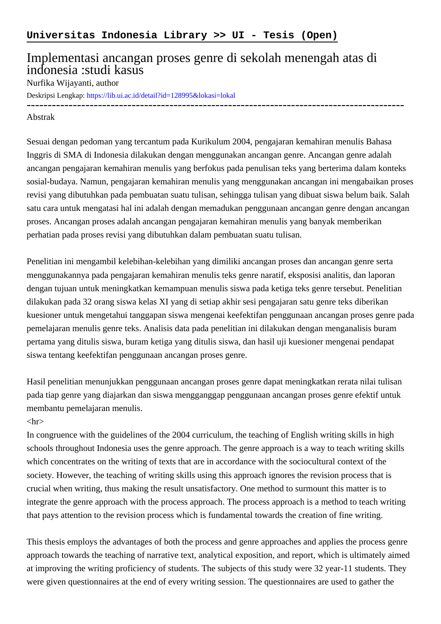## Implementasi ancangan proses genre di sekolah menengah atas di indonesia :studi kasus

## Nurfika Wijayanti, author

Deskripsi Lengkap:<https://lib.ui.ac.id/detail?id=128995&lokasi=lokal>

------------------------------------------------------------------------------------------

## Abstrak

Sesuai dengan pedoman yang tercantum pada Kurikulum 2004, pengajaran kemahiran menulis Bahasa Inggris di SMA di Indonesia dilakukan dengan menggunakan ancangan genre. Ancangan genre adalah ancangan pengajaran kemahiran menulis yang berfokus pada penulisan teks yang berterima dalam konteks sosial-budaya. Namun, pengajaran kemahiran menulis yang menggunakan ancangan ini mengabaikan proses revisi yang dibutuhkan pada pembuatan suatu tulisan, sehingga tulisan yang dibuat siswa belum baik. Salah satu cara untuk mengatasi hal ini adalah dengan memadukan penggunaan ancangan genre dengan ancangan proses. Ancangan proses adalah ancangan pengajaran kemahiran menulis yang banyak memberikan perhatian pada proses revisi yang dibutuhkan dalam pembuatan suatu tulisan.

Penelitian ini mengambil kelebihan-kelebihan yang dimiliki ancangan proses dan ancangan genre serta menggunakannya pada pengajaran kemahiran menulis teks genre naratif, eksposisi analitis, dan laporan dengan tujuan untuk meningkatkan kemampuan menulis siswa pada ketiga teks genre tersebut. Penelitian dilakukan pada 32 orang siswa kelas XI yang di setiap akhir sesi pengajaran satu genre teks diberikan kuesioner untuk mengetahui tanggapan siswa mengenai keefektifan penggunaan ancangan proses genre pada pemelajaran menulis genre teks. Analisis data pada penelitian ini dilakukan dengan menganalisis buram pertama yang ditulis siswa, buram ketiga yang ditulis siswa, dan hasil uji kuesioner mengenai pendapat siswa tentang keefektifan penggunaan ancangan proses genre.

Hasil penelitian menunjukkan penggunaan ancangan proses genre dapat meningkatkan rerata nilai tulisan pada tiap genre yang diajarkan dan siswa mengganggap penggunaan ancangan proses genre efektif untuk membantu pemelajaran menulis.

## $\langle$ hr $>$

In congruence with the guidelines of the 2004 curriculum, the teaching of English writing skills in high schools throughout Indonesia uses the genre approach. The genre approach is a way to teach writing skills which concentrates on the writing of texts that are in accordance with the sociocultural context of the society. However, the teaching of writing skills using this approach ignores the revision process that is crucial when writing, thus making the result unsatisfactory. One method to surmount this matter is to integrate the genre approach with the process approach. The process approach is a method to teach writing that pays attention to the revision process which is fundamental towards the creation of fine writing.

This thesis employs the advantages of both the process and genre approaches and applies the process genre approach towards the teaching of narrative text, analytical exposition, and report, which is ultimately aimed at improving the writing proficiency of students. The subjects of this study were 32 year-11 students. They were given questionnaires at the end of every writing session. The questionnaires are used to gather the